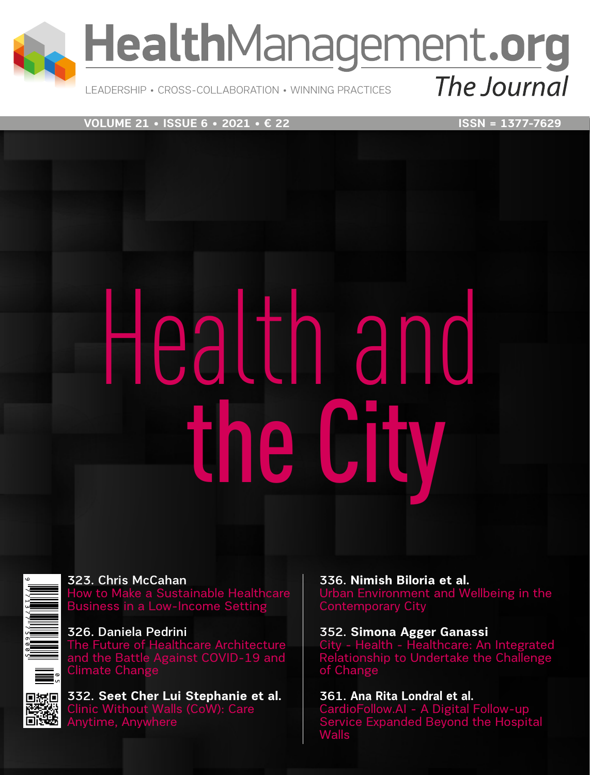

LEADERSHIP • CROSS-COLLABORATION • WINNING PRACTICES

**VOLUME 21 • ISSUE 6 • 2021 • € 22** ISSN = 1377-7629

# Health and he C

▓▓

323. Chris McCahan How to Make a Sustainable Healthcare Business in a Low-Income Setting

326. Daniela Pedrini The Future of Healthcare Architecture and the Battle Against COVID-19 and Climate Change

332. **Seet Cher Lui Stephanie et al.** Clinic Without Walls (CoW): Care Anytime, Anywhere

336. **Nimish Biloria et al.**  Urban Environment and Wellbeing in the Contemporary City

352. **Simona Agger Ganassi**  City - Health - Healthcare: An Integrated Relationship to Undertake the Challenge of Change

361. **Ana Rita Londral et al.**  CardioFollow.AI - A Digital Follow-up Service Expanded Beyond the Hospital Walls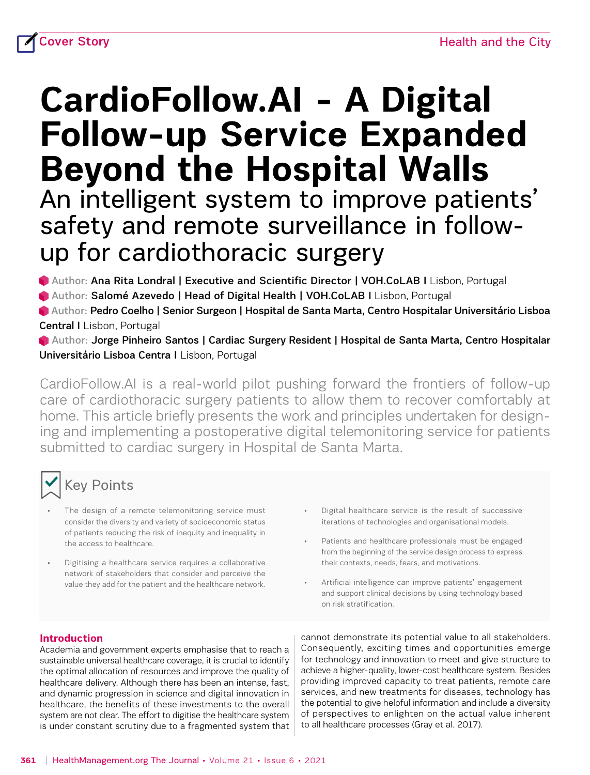# **CardioFollow.AI - A Digital Follow-up Service Expanded Beyond the Hospital Walls** An intelligent system to improve patients' safety and remote surveillance in followup for cardiothoracic surgery

Author: [Ana Rita Londral](https://healthmanagement.org/viewProfile/125757/Ana%20Rita_Londral) | Executive and Scientific Director | VOH.CoLAB I Lisbon, Portugal

Author: [Salomé Azevedo](https://healthmanagement.org/viewProfile/125758/Salom%C3%A9_Azevedo) | Head of Digital Health | VOH.CoLAB I Lisbon, Portugal

 Author: [Pedro Coelho](https://healthmanagement.org/viewProfile/125759/Pedro_Coelho) | Senior Surgeon | Hospital de Santa Marta, Centro Hospitalar Universitário Lisboa Central I Lisbon, Portugal

 Author: [Jorge Pinheiro Santos](https://healthmanagement.org/viewProfile/125761/Jorge%20Pinheiro_Santos) | Cardiac Surgery Resident | Hospital de Santa Marta, Centro Hospitalar Universitário Lisboa Centra I Lisbon, Portugal

CardioFollow.AI is a real-world pilot pushing forward the frontiers of follow-up care of cardiothoracic surgery patients to allow them to recover comfortably at home. This article briefly presents the work and principles undertaken for designing and implementing a postoperative digital telemonitoring service for patients submitted to cardiac surgery in Hospital de Santa Marta.

# Key Points

- The design of a remote telemonitoring service must consider the diversity and variety of socioeconomic status of patients reducing the risk of inequity and inequality in the access to healthcare.
- Digitising a healthcare service requires a collaborative network of stakeholders that consider and perceive the value they add for the patient and the healthcare network.
- Digital healthcare service is the result of successive iterations of technologies and organisational models.
- Patients and healthcare professionals must be engaged from the beginning of the service design process to express their contexts, needs, fears, and motivations.
- Artificial intelligence can improve patients' engagement and support clinical decisions by using technology based on risk stratification.

#### **Introduction**

Academia and government experts emphasise that to reach a sustainable universal healthcare coverage, it is crucial to identify the optimal allocation of resources and improve the quality of healthcare delivery. Although there has been an intense, fast, and dynamic progression in science and digital innovation in healthcare, the benefits of these investments to the overall system are not clear. The effort to digitise the healthcare system is under constant scrutiny due to a fragmented system that cannot demonstrate its potential value to all stakeholders. Consequently, exciting times and opportunities emerge for technology and innovation to meet and give structure to achieve a higher-quality, lower-cost healthcare system. Besides providing improved capacity to treat patients, remote care services, and new treatments for diseases, technology has the potential to give helpful information and include a diversity of perspectives to enlighten on the actual value inherent to all healthcare processes (Gray et al. 2017).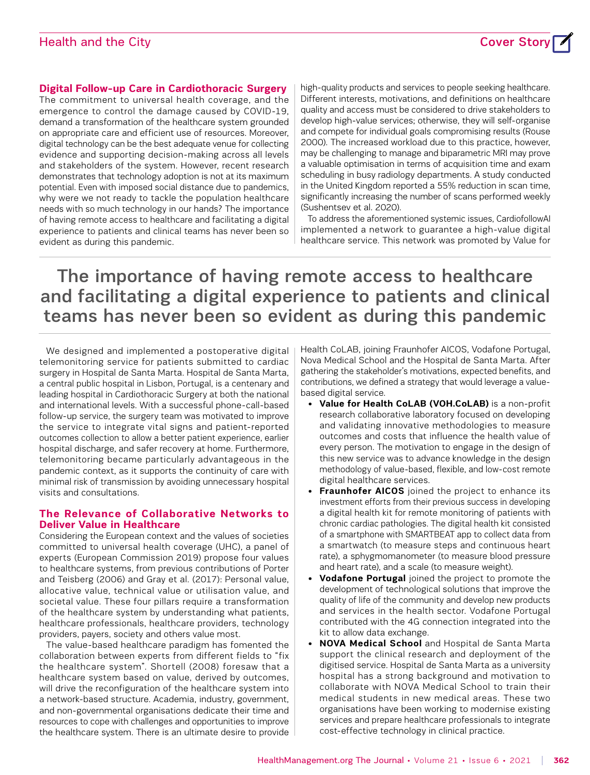## Health and the City Cover Story Cover Story Cover Story Cover Story Cover Story Cover Story Cover Story Cover



#### **Digital Follow-up Care in Cardiothoracic Surgery**

The commitment to universal health coverage, and the emergence to control the damage caused by COVID-19, demand a transformation of the healthcare system grounded on appropriate care and efficient use of resources. Moreover, digital technology can be the best adequate venue for collecting evidence and supporting decision-making across all levels and stakeholders of the system. However, recent research demonstrates that technology adoption is not at its maximum potential. Even with imposed social distance due to pandemics, why were we not ready to tackle the population healthcare needs with so much technology in our hands? The importance of having remote access to healthcare and facilitating a digital experience to patients and clinical teams has never been so evident as during this pandemic.

high-quality products and services to people seeking healthcare. Different interests, motivations, and definitions on healthcare quality and access must be considered to drive stakeholders to develop high-value services; otherwise, they will self-organise and compete for individual goals compromising results (Rouse 2000). The increased workload due to this practice, however, may be challenging to manage and biparametric MRI may prove a valuable optimisation in terms of acquisition time and exam scheduling in busy radiology departments. A study conducted in the United Kingdom reported a 55% reduction in scan time, significantly increasing the number of scans performed weekly (Sushentsev et al. 2020).

To address the aforementioned systemic issues, CardiofollowAI implemented a network to guarantee a high-value digital healthcare service. This network was promoted by Value for

# The importance of having remote access to healthcare and facilitating a digital experience to patients and clinical teams has never been so evident as during this pandemic

We designed and implemented a postoperative digital telemonitoring service for patients submitted to cardiac surgery in Hospital de Santa Marta. Hospital de Santa Marta, a central public hospital in Lisbon, Portugal, is a centenary and leading hospital in Cardiothoracic Surgery at both the national and international levels. With a successful phone-call-based follow-up service, the surgery team was motivated to improve the service to integrate vital signs and patient-reported outcomes collection to allow a better patient experience, earlier hospital discharge, and safer recovery at home. Furthermore, telemonitoring became particularly advantageous in the pandemic context, as it supports the continuity of care with minimal risk of transmission by avoiding unnecessary hospital visits and consultations.

#### **The Relevance of Collaborative Networks to Deliver Value in Healthcare**

Considering the European context and the values of societies committed to universal health coverage (UHC), a panel of experts (European Commission 2019) propose four values to healthcare systems, from previous contributions of Porter and Teisberg (2006) and Gray et al. (2017): Personal value, allocative value, technical value or utilisation value, and societal value. These four pillars require a transformation of the healthcare system by understanding what patients, healthcare professionals, healthcare providers, technology providers, payers, society and others value most.

The value-based healthcare paradigm has fomented the collaboration between experts from different fields to "fix the healthcare system". Shortell (2008) foresaw that a healthcare system based on value, derived by outcomes, will drive the reconfiguration of the healthcare system into a network-based structure. Academia, industry, government, and non-governmental organisations dedicate their time and resources to cope with challenges and opportunities to improve the healthcare system. There is an ultimate desire to provide Health CoLAB, joining Fraunhofer AICOS, Vodafone Portugal, Nova Medical School and the Hospital de Santa Marta. After gathering the stakeholder's motivations, expected benefits, and contributions, we defined a strategy that would leverage a valuebased digital service.

- **Value for Health CoLAB (VOH.CoLAB)** is a non-profit research collaborative laboratory focused on developing and validating innovative methodologies to measure outcomes and costs that influence the health value of every person. The motivation to engage in the design of this new service was to advance knowledge in the design methodology of value-based, flexible, and low-cost remote digital healthcare services.
- **Fraunhofer AICOS** joined the project to enhance its investment efforts from their previous success in developing a digital health kit for remote monitoring of patients with chronic cardiac pathologies. The digital health kit consisted of a smartphone with SMARTBEAT app to collect data from a smartwatch (to measure steps and continuous heart rate), a sphygmomanometer (to measure blood pressure and heart rate), and a scale (to measure weight).
- **Vodafone Portugal** joined the project to promote the development of technological solutions that improve the quality of life of the community and develop new products and services in the health sector. Vodafone Portugal contributed with the 4G connection integrated into the kit to allow data exchange.
- **NOVA Medical School** and Hospital de Santa Marta support the clinical research and deployment of the digitised service. Hospital de Santa Marta as a university hospital has a strong background and motivation to collaborate with NOVA Medical School to train their medical students in new medical areas. These two organisations have been working to modernise existing services and prepare healthcare professionals to integrate cost-effective technology in clinical practice.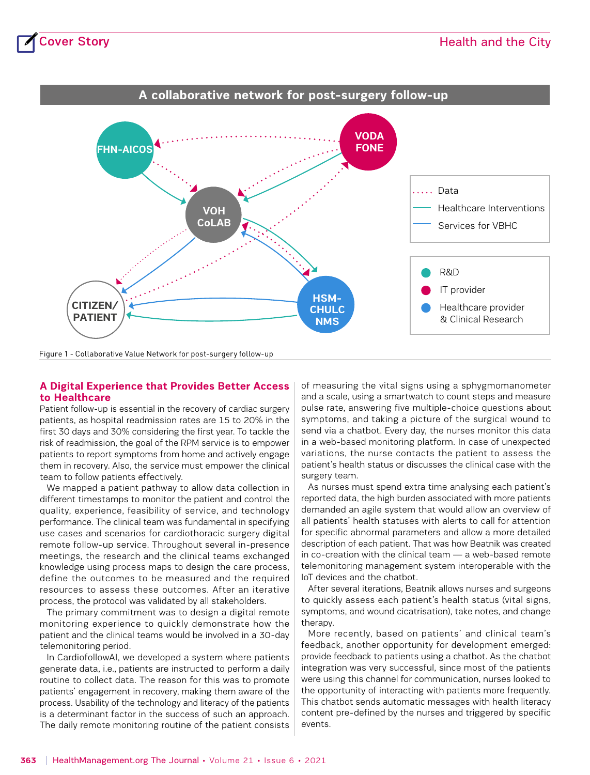

Figure 1 - Collaborative Value Network for post-surgery follow-up

#### **A Digital Experience that Provides Better Access to Healthcare**

Patient follow-up is essential in the recovery of cardiac surgery patients, as hospital readmission rates are 15 to 20% in the first 30 days and 30% considering the first year. To tackle the risk of readmission, the goal of the RPM service is to empower patients to report symptoms from home and actively engage them in recovery. Also, the service must empower the clinical team to follow patients effectively.

We mapped a patient pathway to allow data collection in different timestamps to monitor the patient and control the quality, experience, feasibility of service, and technology performance. The clinical team was fundamental in specifying use cases and scenarios for cardiothoracic surgery digital remote follow-up service. Throughout several in-presence meetings, the research and the clinical teams exchanged knowledge using process maps to design the care process, define the outcomes to be measured and the required resources to assess these outcomes. After an iterative process, the protocol was validated by all stakeholders.

The primary commitment was to design a digital remote monitoring experience to quickly demonstrate how the patient and the clinical teams would be involved in a 30-day telemonitoring period.

In CardiofollowAI, we developed a system where patients generate data, i.e., patients are instructed to perform a daily routine to collect data. The reason for this was to promote patients' engagement in recovery, making them aware of the process. Usability of the technology and literacy of the patients is a determinant factor in the success of such an approach. The daily remote monitoring routine of the patient consists of measuring the vital signs using a sphygmomanometer and a scale, using a smartwatch to count steps and measure pulse rate, answering five multiple-choice questions about symptoms, and taking a picture of the surgical wound to send via a chatbot. Every day, the nurses monitor this data in a web-based monitoring platform. In case of unexpected variations, the nurse contacts the patient to assess the patient's health status or discusses the clinical case with the surgery team.

As nurses must spend extra time analysing each patient's reported data, the high burden associated with more patients demanded an agile system that would allow an overview of all patients' health statuses with alerts to call for attention for specific abnormal parameters and allow a more detailed description of each patient. That was how Beatnik was created in co-creation with the clinical team — a web-based remote telemonitoring management system interoperable with the IoT devices and the chatbot.

After several iterations, Beatnik allows nurses and surgeons to quickly assess each patient's health status (vital signs, symptoms, and wound cicatrisation), take notes, and change therapy.

More recently, based on patients' and clinical team's feedback, another opportunity for development emerged: provide feedback to patients using a chatbot. As the chatbot integration was very successful, since most of the patients were using this channel for communication, nurses looked to the opportunity of interacting with patients more frequently. This chatbot sends automatic messages with health literacy content pre-defined by the nurses and triggered by specific events.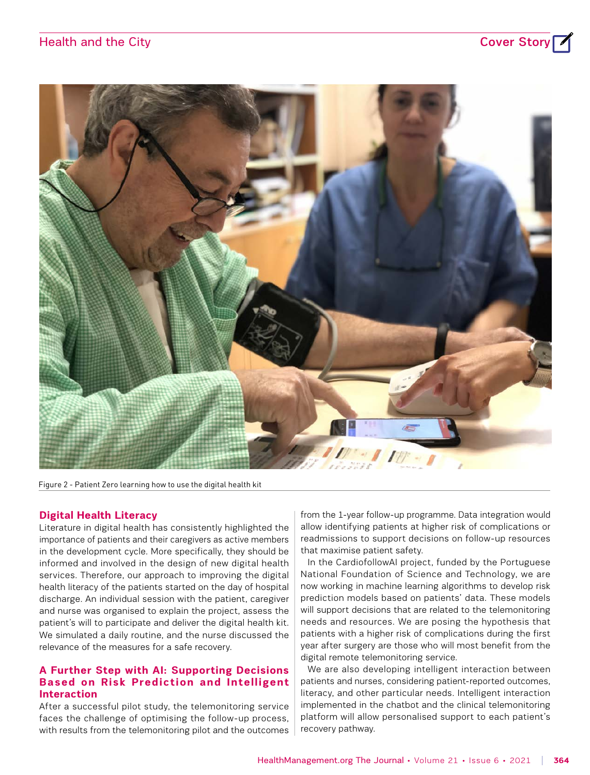# Health and the City **Cover Story**





Figure 2 - Patient Zero learning how to use the digital health kit

#### **Digital Health Literacy**

Literature in digital health has consistently highlighted the importance of patients and their caregivers as active members in the development cycle. More specifically, they should be informed and involved in the design of new digital health services. Therefore, our approach to improving the digital health literacy of the patients started on the day of hospital discharge. An individual session with the patient, caregiver and nurse was organised to explain the project, assess the patient's will to participate and deliver the digital health kit. We simulated a daily routine, and the nurse discussed the relevance of the measures for a safe recovery.

#### **A Further Step with AI: Supporting Decisions Based on Risk Prediction and Intelligent Interaction**

After a successful pilot study, the telemonitoring service faces the challenge of optimising the follow-up process, with results from the telemonitoring pilot and the outcomes from the 1-year follow-up programme. Data integration would allow identifying patients at higher risk of complications or readmissions to support decisions on follow-up resources that maximise patient safety.

In the CardiofollowAI project, funded by the Portuguese National Foundation of Science and Technology, we are now working in machine learning algorithms to develop risk prediction models based on patients' data. These models will support decisions that are related to the telemonitoring needs and resources. We are posing the hypothesis that patients with a higher risk of complications during the first year after surgery are those who will most benefit from the digital remote telemonitoring service.

We are also developing intelligent interaction between patients and nurses, considering patient-reported outcomes, literacy, and other particular needs. Intelligent interaction implemented in the chatbot and the clinical telemonitoring platform will allow personalised support to each patient's recovery pathway.